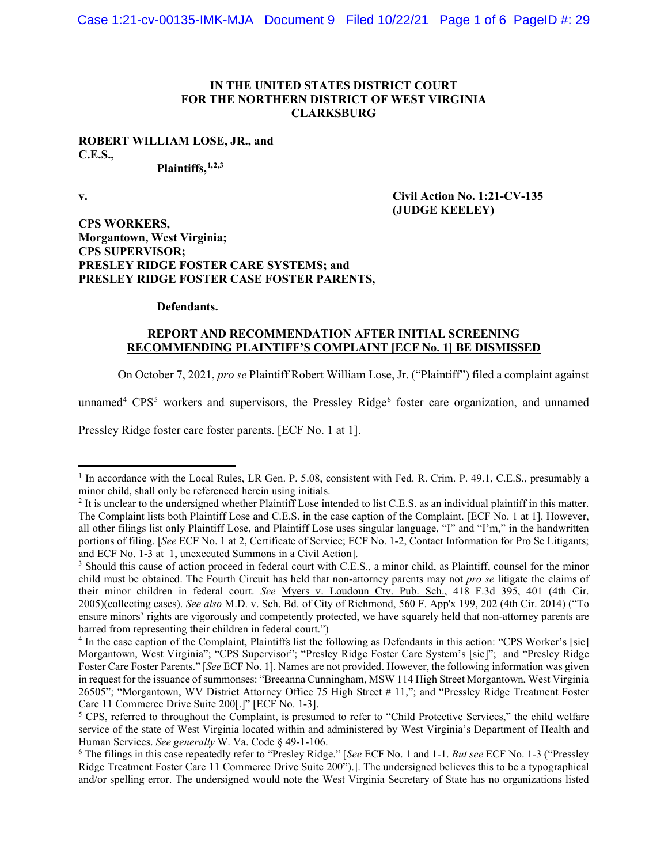### **IN THE UNITED STATES DISTRICT COURT FOR THE NORTHERN DISTRICT OF WEST VIRGINIA CLARKSBURG**

# **ROBERT WILLIAM LOSE, JR., and C.E.S.,**

**Plaintiffs, 1,2,3**

### **v. Civil Action No. 1:21-CV-135 (JUDGE KEELEY)**

**CPS WORKERS, Morgantown, West Virginia; CPS SUPERVISOR; PRESLEY RIDGE FOSTER CARE SYSTEMS; and PRESLEY RIDGE FOSTER CASE FOSTER PARENTS,**

### **Defendants.**

## **REPORT AND RECOMMENDATION AFTER INITIAL SCREENING RECOMMENDING PLAINTIFF'S COMPLAINT [ECF No. 1] BE DISMISSED**

On October 7, 2021, *pro se* Plaintiff Robert William Lose, Jr. ("Plaintiff") filed a complaint against

unnamed<sup>4</sup> CPS<sup>5</sup> workers and supervisors, the Pressley Ridge<sup>6</sup> foster care organization, and unnamed

Pressley Ridge foster care foster parents. [ECF No. 1 at 1].

<sup>&</sup>lt;sup>1</sup> In accordance with the Local Rules, LR Gen. P. 5.08, consistent with Fed. R. Crim. P. 49.1, C.E.S., presumably a minor child, shall only be referenced herein using initials.

 $<sup>2</sup>$  It is unclear to the undersigned whether Plaintiff Lose intended to list C.E.S. as an individual plaintiff in this matter.</sup> The Complaint lists both Plaintiff Lose and C.E.S. in the case caption of the Complaint. [ECF No. 1 at 1]. However, all other filings list only Plaintiff Lose, and Plaintiff Lose uses singular language, "I" and "I'm," in the handwritten portions of filing. [*See* ECF No. 1 at 2, Certificate of Service; ECF No. 1-2, Contact Information for Pro Se Litigants; and ECF No. 1-3 at 1, unexecuted Summons in a Civil Action].

<sup>&</sup>lt;sup>3</sup> Should this cause of action proceed in federal court with C.E.S., a minor child, as Plaintiff, counsel for the minor child must be obtained. The Fourth Circuit has held that non-attorney parents may not *pro se* litigate the claims of their minor children in federal court. *See* Myers v. Loudoun Cty. Pub. Sch., 418 F.3d 395, 401 (4th Cir. 2005)(collecting cases). *See also* M.D. v. Sch. Bd. of City of Richmond, 560 F. App'x 199, 202 (4th Cir. 2014) ("To ensure minors' rights are vigorously and competently protected, we have squarely held that non-attorney parents are barred from representing their children in federal court.")

<sup>4</sup> In the case caption of the Complaint, Plaintiffs list the following as Defendants in this action: "CPS Worker's [sic] Morgantown, West Virginia"; "CPS Supervisor"; "Presley Ridge Foster Care System's [sic]"; and "Presley Ridge Foster Care Foster Parents." [*See* ECF No. 1]. Names are not provided. However, the following information was given in request for the issuance of summonses: "Breeanna Cunningham, MSW 114 High Street Morgantown, West Virginia 26505"; "Morgantown, WV District Attorney Office 75 High Street # 11,"; and "Pressley Ridge Treatment Foster Care 11 Commerce Drive Suite 200[.]" [ECF No. 1-3].

 $5$  CPS, referred to throughout the Complaint, is presumed to refer to "Child Protective Services," the child welfare service of the state of West Virginia located within and administered by West Virginia's Department of Health and Human Services. *See generally* W. Va. Code § 49-1-106.<br><sup>6</sup> The filings in this case repeatedly refer to "Presley Ridge." [*See* ECF No. 1 and 1-1. *But see* ECF No. 1-3 ("Pressley

Ridge Treatment Foster Care 11 Commerce Drive Suite 200").]. The undersigned believes this to be a typographical and/or spelling error. The undersigned would note the West Virginia Secretary of State has no organizations listed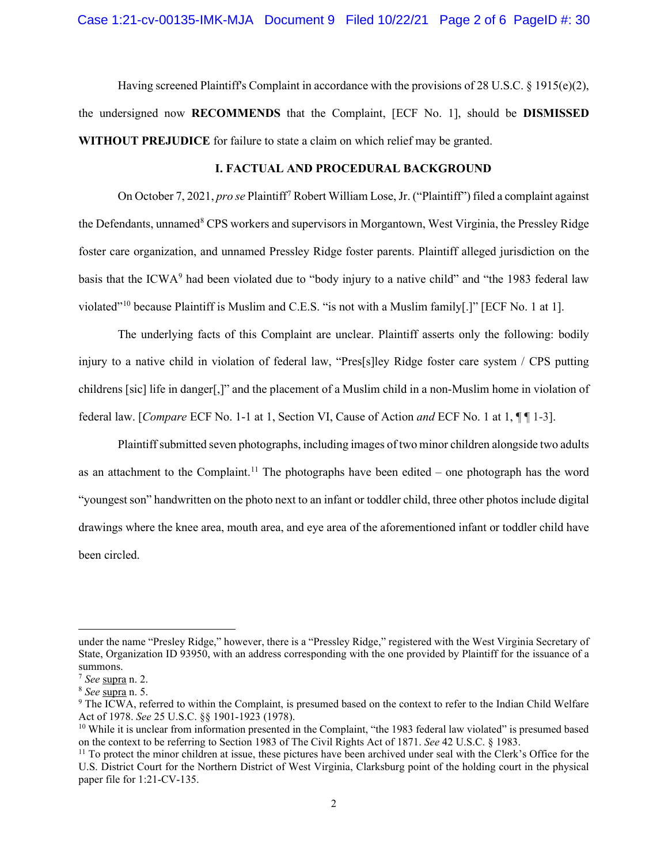Having screened Plaintiff's Complaint in accordance with the provisions of 28 U.S.C. § 1915(e)(2), the undersigned now **RECOMMENDS** that the Complaint, [ECF No. 1], should be **DISMISSED WITHOUT PREJUDICE** for failure to state a claim on which relief may be granted.

## **I. FACTUAL AND PROCEDURAL BACKGROUND**

On October 7, 2021, *pro se* Plaintiff7 Robert William Lose, Jr. ("Plaintiff") filed a complaint against the Defendants, unnamed<sup>8</sup> CPS workers and supervisors in Morgantown, West Virginia, the Pressley Ridge foster care organization, and unnamed Pressley Ridge foster parents. Plaintiff alleged jurisdiction on the basis that the ICWA<sup>9</sup> had been violated due to "body injury to a native child" and "the 1983 federal law violated"10 because Plaintiff is Muslim and C.E.S. "is not with a Muslim family[.]" [ECF No. 1 at 1].

The underlying facts of this Complaint are unclear. Plaintiff asserts only the following: bodily injury to a native child in violation of federal law, "Pres[s]ley Ridge foster care system / CPS putting childrens [sic] life in danger[,]" and the placement of a Muslim child in a non-Muslim home in violation of federal law. [*Compare* ECF No. 1-1 at 1, Section VI, Cause of Action *and* ECF No. 1 at 1, ¶ ¶ 1-3].

Plaintiff submitted seven photographs, including images of two minor children alongside two adults as an attachment to the Complaint.<sup>11</sup> The photographs have been edited – one photograph has the word "youngest son" handwritten on the photo next to an infant or toddler child, three other photos include digital drawings where the knee area, mouth area, and eye area of the aforementioned infant or toddler child have been circled.

under the name "Presley Ridge," however, there is a "Pressley Ridge," registered with the West Virginia Secretary of State, Organization ID 93950, with an address corresponding with the one provided by Plaintiff for the issuance of a summons.<br> $7 \text{ See } \text{supra}$  n. 2.

<sup>&</sup>lt;sup>8</sup> See supra n. 5.<br><sup>9</sup> The ICWA, referred to within the Complaint, is presumed based on the context to refer to the Indian Child Welfare<br>Act of 1978. See 25 U.S.C. §§ 1901-1923 (1978).

<sup>&</sup>lt;sup>10</sup> While it is unclear from information presented in the Complaint, "the 1983 federal law violated" is presumed based on the context to be referring to Section 1983 of The Civil Rights Act of 1871. See 42 U.S.C. § 1983.<br><sup>11</sup> To protect the minor children at issue, these pictures have been archived under seal with the Clerk's Office for t

U.S. District Court for the Northern District of West Virginia, Clarksburg point of the holding court in the physical paper file for 1:21-CV-135.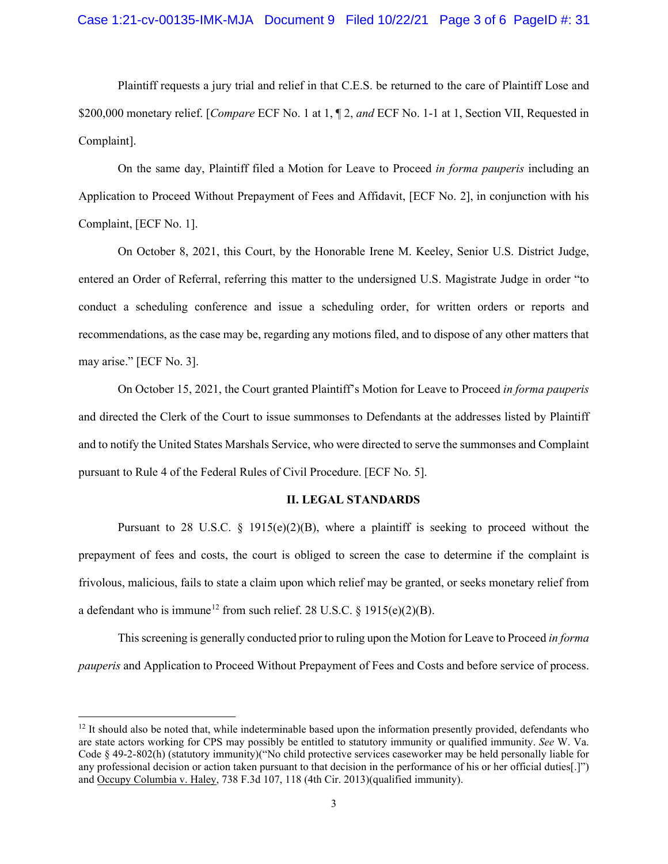Plaintiff requests a jury trial and relief in that C.E.S. be returned to the care of Plaintiff Lose and \$200,000 monetary relief. [*Compare* ECF No. 1 at 1, ¶ 2, *and* ECF No. 1-1 at 1, Section VII, Requested in Complaint].

On the same day, Plaintiff filed a Motion for Leave to Proceed *in forma pauperis* including an Application to Proceed Without Prepayment of Fees and Affidavit, [ECF No. 2], in conjunction with his Complaint, [ECF No. 1].

On October 8, 2021, this Court, by the Honorable Irene M. Keeley, Senior U.S. District Judge, entered an Order of Referral, referring this matter to the undersigned U.S. Magistrate Judge in order "to conduct a scheduling conference and issue a scheduling order, for written orders or reports and recommendations, as the case may be, regarding any motions filed, and to dispose of any other matters that may arise." [ECF No. 3].

On October 15, 2021, the Court granted Plaintiff's Motion for Leave to Proceed *in forma pauperis* and directed the Clerk of the Court to issue summonses to Defendants at the addresses listed by Plaintiff and to notify the United States Marshals Service, who were directed to serve the summonses and Complaint pursuant to Rule 4 of the Federal Rules of Civil Procedure. [ECF No. 5].

### **II. LEGAL STANDARDS**

Pursuant to 28 U.S.C. § 1915(e)(2)(B), where a plaintiff is seeking to proceed without the prepayment of fees and costs, the court is obliged to screen the case to determine if the complaint is frivolous, malicious, fails to state a claim upon which relief may be granted, or seeks monetary relief from a defendant who is immune<sup>12</sup> from such relief. 28 U.S.C. § 1915(e)(2)(B).

This screening is generally conducted prior to ruling upon the Motion for Leave to Proceed *in forma pauperis* and Application to Proceed Without Prepayment of Fees and Costs and before service of process.

 $12$  It should also be noted that, while indeterminable based upon the information presently provided, defendants who are state actors working for CPS may possibly be entitled to statutory immunity or qualified immunity. *See* W. Va. Code § 49-2-802(h) (statutory immunity)("No child protective services caseworker may be held personally liable for any professional decision or action taken pursuant to that decision in the performance of his or her official duties[.]") and Occupy Columbia v. Haley, 738 F.3d 107, 118 (4th Cir. 2013)(qualified immunity).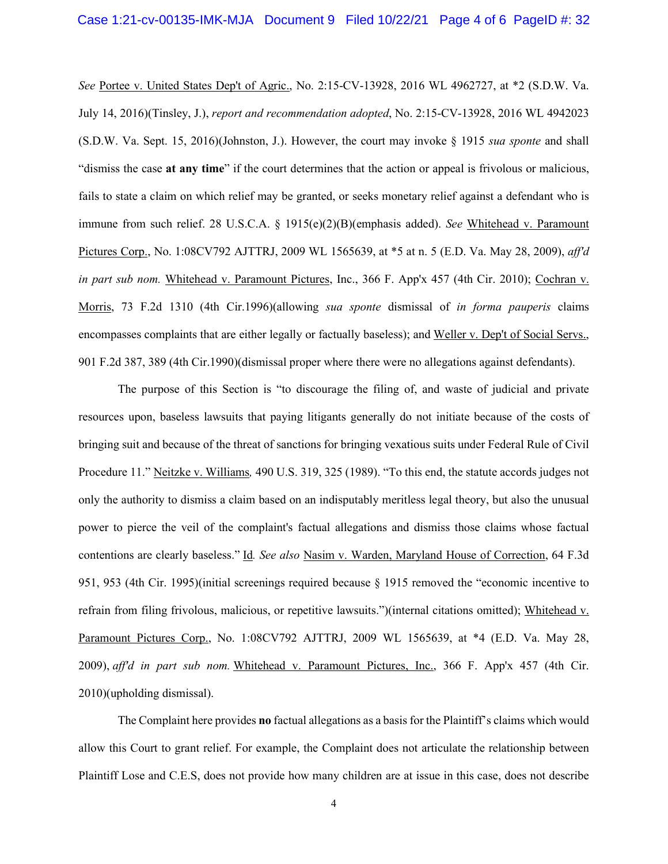*See* Portee v. United States Dep't of Agric., No. 2:15-CV-13928, 2016 WL 4962727, at \*2 (S.D.W. Va. July 14, 2016)(Tinsley, J.), *report and recommendation adopted*, No. 2:15-CV-13928, 2016 WL 4942023 (S.D.W. Va. Sept. 15, 2016)(Johnston, J.). However, the court may invoke § 1915 *sua sponte* and shall "dismiss the case **at any time**" if the court determines that the action or appeal is frivolous or malicious, fails to state a claim on which relief may be granted, or seeks monetary relief against a defendant who is immune from such relief. 28 U.S.C.A. § 1915(e)(2)(B)(emphasis added). *See* Whitehead v. Paramount Pictures Corp., No. 1:08CV792 AJTTRJ, 2009 WL 1565639, at \*5 at n. 5 (E.D. Va. May 28, 2009), *aff'd in part sub nom.* Whitehead v. Paramount Pictures, Inc., 366 F. App'x 457 (4th Cir. 2010); Cochran v. Morris, 73 F.2d 1310 (4th Cir.1996)(allowing *sua sponte* dismissal of *in forma pauperis* claims encompasses complaints that are either legally or factually baseless); and Weller v. Dep't of Social Servs., 901 F.2d 387, 389 (4th Cir.1990)(dismissal proper where there were no allegations against defendants).

The purpose of this Section is "to discourage the filing of, and waste of judicial and private resources upon, baseless lawsuits that paying litigants generally do not initiate because of the costs of bringing suit and because of the threat of sanctions for bringing vexatious suits under Federal Rule of Civil Procedure 11." Neitzke v. Williams*,* 490 U.S. 319, 325 (1989). "To this end, the statute accords judges not only the authority to dismiss a claim based on an indisputably meritless legal theory, but also the unusual power to pierce the veil of the complaint's factual allegations and dismiss those claims whose factual contentions are clearly baseless." Id*. See also* Nasim v. Warden, Maryland House of Correction, 64 F.3d 951, 953 (4th Cir. 1995)(initial screenings required because § 1915 removed the "economic incentive to refrain from filing frivolous, malicious, or repetitive lawsuits.")(internal citations omitted); Whitehead v. Paramount Pictures Corp., No. 1:08CV792 AJTTRJ, 2009 WL 1565639, at \*4 (E.D. Va. May 28, 2009), *aff'd in part sub nom.* Whitehead v. Paramount Pictures, Inc., 366 F. App'x 457 (4th Cir. 2010)(upholding dismissal).

The Complaint here provides **no** factual allegations as a basis for the Plaintiff's claims which would allow this Court to grant relief. For example, the Complaint does not articulate the relationship between Plaintiff Lose and C.E.S, does not provide how many children are at issue in this case, does not describe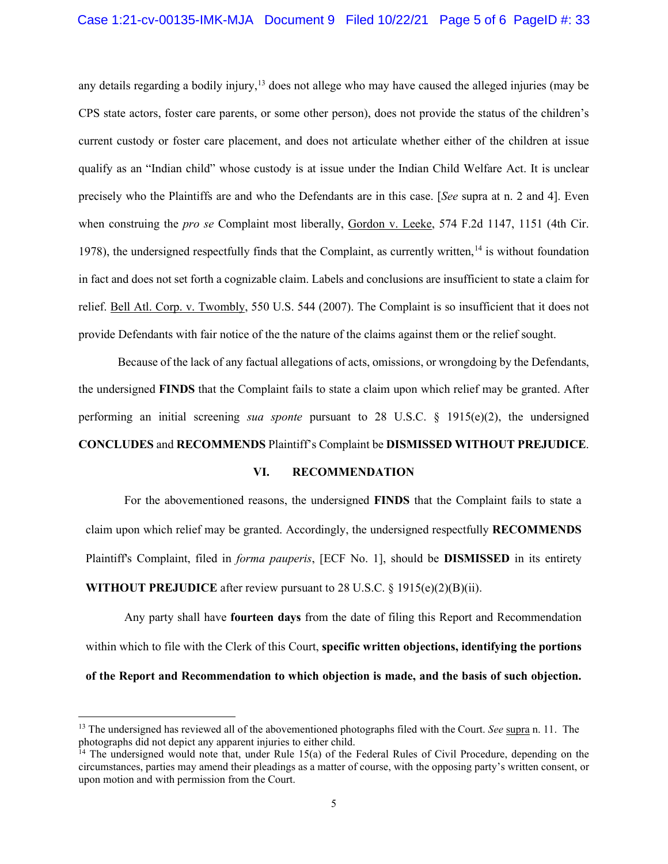any details regarding a bodily injury,<sup>13</sup> does not allege who may have caused the alleged injuries (may be CPS state actors, foster care parents, or some other person), does not provide the status of the children's current custody or foster care placement, and does not articulate whether either of the children at issue qualify as an "Indian child" whose custody is at issue under the Indian Child Welfare Act. It is unclear precisely who the Plaintiffs are and who the Defendants are in this case. [*See* supra at n. 2 and 4]. Even when construing the *pro se* Complaint most liberally, Gordon v. Leeke, 574 F.2d 1147, 1151 (4th Cir. 1978), the undersigned respectfully finds that the Complaint, as currently written,<sup>14</sup> is without foundation in fact and does not set forth a cognizable claim. Labels and conclusions are insufficient to state a claim for relief. Bell Atl. Corp. v. Twombly, 550 U.S. 544 (2007). The Complaint is so insufficient that it does not provide Defendants with fair notice of the the nature of the claims against them or the relief sought.

Because of the lack of any factual allegations of acts, omissions, or wrongdoing by the Defendants, the undersigned **FINDS** that the Complaint fails to state a claim upon which relief may be granted. After performing an initial screening *sua sponte* pursuant to 28 U.S.C. § 1915(e)(2), the undersigned **CONCLUDES** and **RECOMMENDS** Plaintiff's Complaint be **DISMISSED WITHOUT PREJUDICE**.

#### **VI. RECOMMENDATION**

For the abovementioned reasons, the undersigned **FINDS** that the Complaint fails to state a claim upon which relief may be granted. Accordingly, the undersigned respectfully **RECOMMENDS** Plaintiff's Complaint, filed in *forma pauperis*, [ECF No. 1], should be **DISMISSED** in its entirety **WITHOUT PREJUDICE** after review pursuant to 28 U.S.C. § 1915(e)(2)(B)(ii).

Any party shall have **fourteen days** from the date of filing this Report and Recommendation within which to file with the Clerk of this Court, **specific written objections, identifying the portions of the Report and Recommendation to which objection is made, and the basis of such objection.**

<sup>&</sup>lt;sup>13</sup> The undersigned has reviewed all of the abovementioned photographs filed with the Court. *See* supra n. 11. The photographs did not depict any apparent injuries to either child.

<sup>&</sup>lt;sup>14</sup> The undersigned would note that, under Rule 15(a) of the Federal Rules of Civil Procedure, depending on the circumstances, parties may amend their pleadings as a matter of course, with the opposing party's written consent, or upon motion and with permission from the Court.